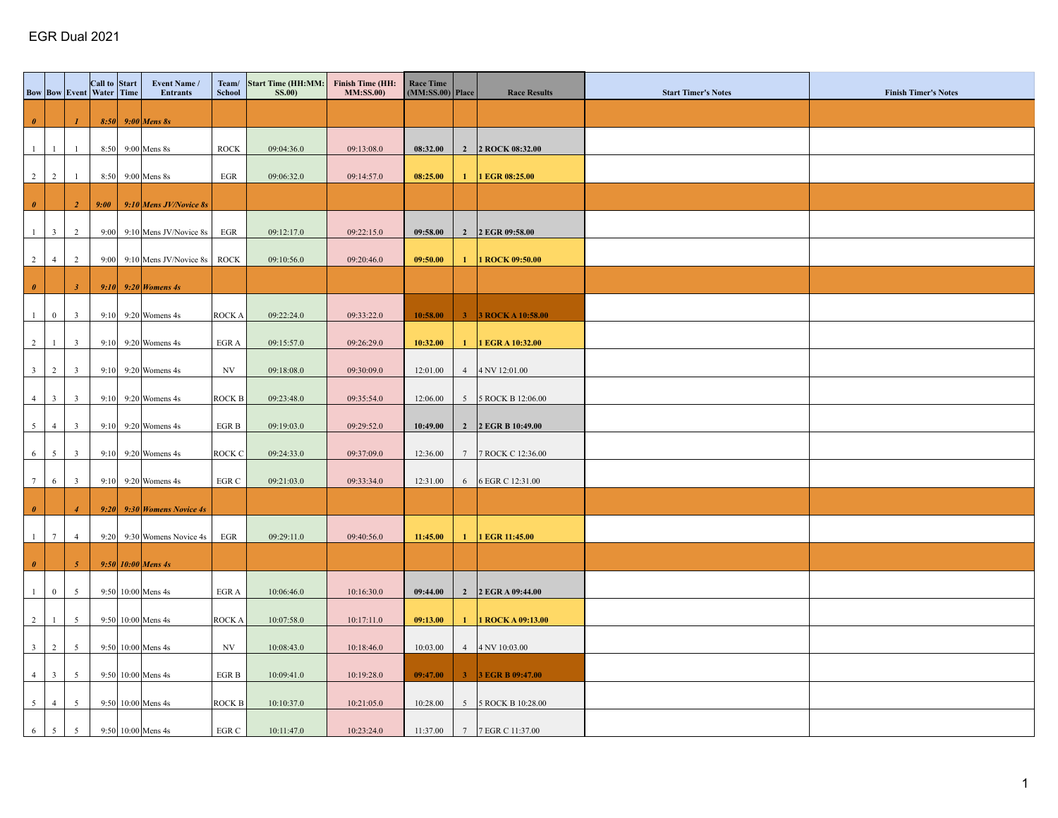|                       |                 |                         | Call to Start<br><b>Bow   Bow   Event   Water   Time</b> | Event Name /<br><b>Entrants</b>          | School                  | Team/ Start Time (HH:MM: Finish Time (HH:<br><b>SS.00</b> ) | <b>MM:SS.00)</b> | <b>Race Time</b><br>$(MM:SS.00)$ Place | <b>Race Results</b>           | <b>Start Timer's Notes</b> | <b>Finish Timer's Notes</b> |
|-----------------------|-----------------|-------------------------|----------------------------------------------------------|------------------------------------------|-------------------------|-------------------------------------------------------------|------------------|----------------------------------------|-------------------------------|----------------------------|-----------------------------|
|                       |                 |                         |                                                          |                                          |                         |                                                             |                  |                                        |                               |                            |                             |
| $\theta$              |                 | $\mathbf{I}$            |                                                          | $8:50$ 9:00 Mens 8s                      |                         |                                                             |                  |                                        |                               |                            |                             |
| 1                     | -1              | -1                      |                                                          | 8:50 9:00 Mens 8s                        | <b>ROCK</b>             | 09:04:36.0                                                  | 09:13:08.0       | 08:32.00                               | 2 2 ROCK 08:32.00             |                            |                             |
|                       |                 |                         |                                                          |                                          |                         |                                                             |                  |                                        |                               |                            |                             |
|                       | $2 \mid 2$      | -1                      |                                                          | $8:50$ 9:00 Mens 8s                      | EGR                     | 09:06:32.0                                                  | 09:14:57.0       | 08:25.00                               | 1   1 EGR $08:25.00$          |                            |                             |
| $\boldsymbol{\theta}$ |                 | $\overline{a}$          | 9:00                                                     | $9:10$ Mens JV/Novice 8s                 |                         |                                                             |                  |                                        |                               |                            |                             |
|                       |                 |                         |                                                          |                                          |                         |                                                             |                  |                                        |                               |                            |                             |
|                       | $1 \mid 3$      | 2                       |                                                          | 9:00 9:10 Mens JV/Novice 8s              | EGR                     | 09:12:17.0                                                  | 09:22:15.0       | 09:58.00                               | 2 2 EGR 09:58.00              |                            |                             |
|                       | $2 \mid 4 \mid$ | $\overline{2}$          |                                                          | 9:00 9:10 Mens JV/Novice 8s $\vert$ ROCK |                         | 09:10:56.0                                                  | 09:20:46.0       | 09:50.00                               | 1   1 ROCK $09:50.00$         |                            |                             |
|                       |                 |                         |                                                          |                                          |                         |                                                             |                  |                                        |                               |                            |                             |
| $\theta$              |                 | $\boldsymbol{\beta}$    |                                                          | 9:10 9:20 <i>Womens 4s</i>               |                         |                                                             |                  |                                        |                               |                            |                             |
|                       | $1 \mid 0 \mid$ | $\overline{\mathbf{3}}$ |                                                          | 9:10 9:20 Womens 4s                      | <b>ROCKA</b>            | 09:22:24.0                                                  | 09:33:22.0       | 10:58.00                               | 3 3 ROCK A 10:58.00           |                            |                             |
|                       |                 |                         |                                                          |                                          |                         |                                                             |                  |                                        |                               |                            |                             |
|                       | $2 \mid 1$      | $\overline{\mathbf{3}}$ |                                                          | $9:10$ 9:20 Womens 4s                    | EGR A                   | 09:15:57.0                                                  | 09:26:29.0       | 10:32.00                               | 1   1 EGR A 10:32.00          |                            |                             |
|                       | $3 \mid 2 \mid$ | $\overline{\mathbf{3}}$ |                                                          | 9:10 9:20 Womens 4s                      | $_{\mathrm{NV}}$        | 09:18:08.0                                                  | 09:30:09.0       | 12:01.00                               | $4$   4 NV 12:01.00           |                            |                             |
|                       |                 |                         |                                                          |                                          |                         |                                                             |                  |                                        |                               |                            |                             |
|                       | $4 \mid 3 \mid$ | $\overline{\mathbf{3}}$ |                                                          | $9:10$ 9:20 Womens 4s                    | <b>ROCK B</b>           | 09:23:48.0                                                  | 09:35:54.0       | 12:06.00                               | 5 5 ROCK B 12:06.00           |                            |                             |
|                       | $5 \mid 4$      | $\overline{\mathbf{3}}$ |                                                          | $9:10$ 9:20 Womens 4s                    | $_{\rm EGR}$ B          | 09:19:03.0                                                  | 09:29:52.0       | 10:49.00                               | 2 2 EGR B 10:49.00            |                            |                             |
|                       |                 |                         |                                                          |                                          |                         |                                                             |                  |                                        |                               |                            |                             |
|                       | $6 \mid 5$      | $\overline{\mathbf{3}}$ |                                                          | 9:10 9:20 Womens 4s                      | ROCK C                  | 09:24:33.0                                                  | 09:37:09.0       | 12:36.00                               | 7 7 ROCK C 12:36.00           |                            |                             |
|                       | $7 \mid 6$      | $\overline{\mathbf{3}}$ |                                                          | 9:10 9:20 Womens 4s                      | $_{\rm EGR}$ $_{\rm C}$ | 09:21:03.0                                                  | 09:33:34.0       | 12:31.00                               | 6 6 6 EGR C 12:31.00          |                            |                             |
|                       |                 |                         |                                                          |                                          |                         |                                                             |                  |                                        |                               |                            |                             |
| $\theta$              |                 | $\overline{4}$          |                                                          | $9:20$ 9:30 Womens Novice 4s             |                         |                                                             |                  |                                        |                               |                            |                             |
|                       | $1 \mid 7 \mid$ | $\overline{4}$          |                                                          | $9:20$ 9:30 Womens Novice 4s             | $_{\rm EGR}$            | 09:29:11.0                                                  | 09:40:56.0       | 11:45.00                               | $1$   1 EGR 11:45.00          |                            |                             |
| $\pmb{\theta}$        |                 | $\sqrt{5}$              |                                                          |                                          |                         |                                                             |                  |                                        |                               |                            |                             |
|                       |                 |                         |                                                          | 9:50 $10:00$ Mens 4s                     |                         |                                                             |                  |                                        |                               |                            |                             |
| 1                     | $\overline{0}$  | $5\overline{5}$         |                                                          | $9:50$ 10:00 Mens 4s                     | EGR A                   | 10:06:46.0                                                  | 10:16:30.0       | 09:44.00                               | 2 2 EGR A 09:44.00            |                            |                             |
|                       |                 | $5\overline{)}$         |                                                          |                                          |                         | 10:07:58.0                                                  |                  |                                        |                               |                            |                             |
|                       | $2 \mid 1$      |                         |                                                          | $9:50$ 10:00 Mens 4s                     | <b>ROCKA</b>            |                                                             | 10:17:11.0       | 09:13.00                               | 1           ROCK A $09:13.00$ |                            |                             |
|                       | $3 \mid 2$      | $5\overline{5}$         |                                                          | $9:50$ 10:00 Mens 4s                     | $_{\mathrm{NV}}$        | 10:08:43.0                                                  | 10:18:46.0       | 10:03.00                               | $4$   4 NV 10:03.00           |                            |                             |
|                       | $4 \mid 3$      | $5\overline{5}$         |                                                          | $9:50$ 10:00 Mens 4s                     | EGR B                   | 10:09:41.0                                                  | 10:19:28.0       | 09:47.00                               | 3 3 EGR B 09:47.00            |                            |                             |
|                       |                 |                         |                                                          |                                          |                         |                                                             |                  |                                        |                               |                            |                             |
|                       | $5 \mid 4$      | $5\overline{5}$         |                                                          | $9:50$ 10:00 Mens 4s                     | ROCK B                  | 10:10:37.0                                                  | 10:21:05.0       | 10:28.00                               | 5 5 ROCK B 10:28.00           |                            |                             |
|                       | $6 \mid 5 \mid$ | $5\overline{5}$         |                                                          | 9:50 10:00 Mens 4s                       | EGR C                   | 10:11:47.0                                                  | 10:23:24.0       | 11:37.00                               | 7 7 EGR C 11:37.00            |                            |                             |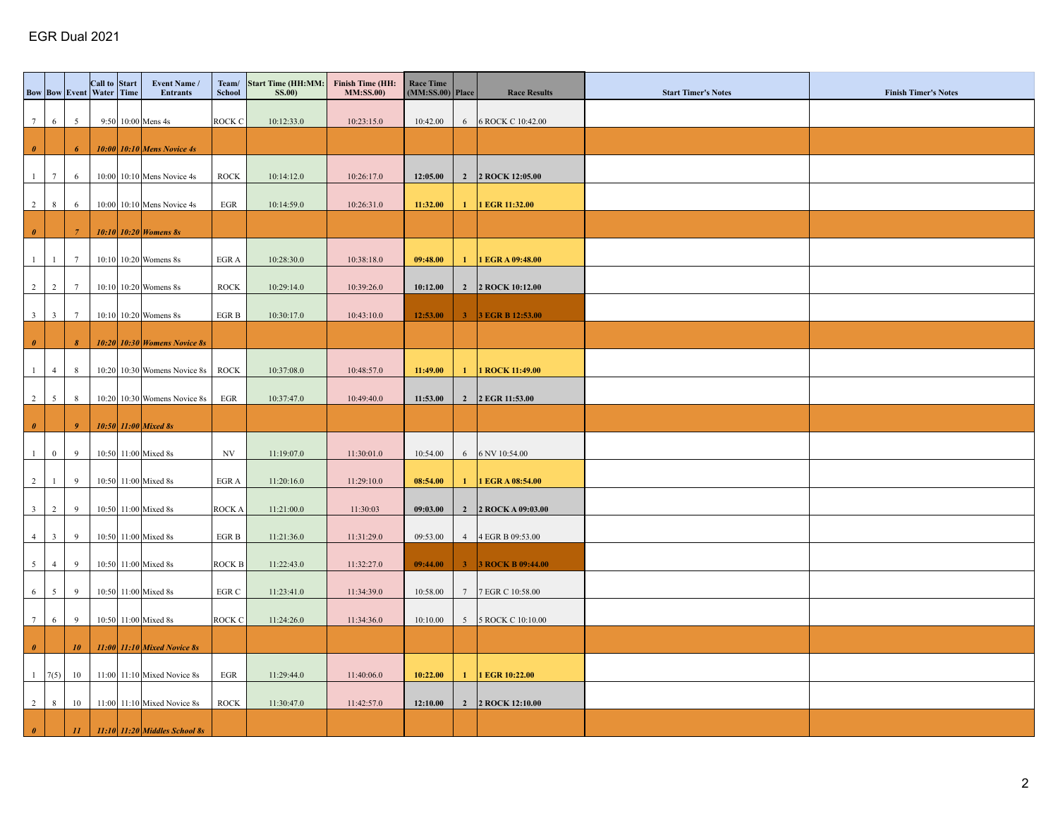|                |                 | <b>Bow Bow Event Water Time</b> | Call to Start | Event Name /<br><b>Entrants</b>   | Team/<br><b>School</b> | Start Time (HH:MM: Finish Time (HH:<br><b>SS.00</b> ) | <b>MM:SS.00)</b> | Race Time<br>$(MM:SS.00)$ Place |              | <b>Race Results</b>   | <b>Start Timer's Notes</b> | <b>Finish Timer's Notes</b> |
|----------------|-----------------|---------------------------------|---------------|-----------------------------------|------------------------|-------------------------------------------------------|------------------|---------------------------------|--------------|-----------------------|----------------------------|-----------------------------|
|                | 7   6           | $5\overline{5}$                 |               | $9:50$ 10:00 Mens 4s              | <b>ROCK C</b>          | 10:12:33.0                                            | 10:23:15.0       | 10:42.00                        |              | 6 6 ROCK C 10:42.00   |                            |                             |
|                |                 |                                 |               |                                   |                        |                                                       |                  |                                 |              |                       |                            |                             |
| $\theta$       |                 | 6                               |               | $10:00$ 10:10 Mens Novice 4s      |                        |                                                       |                  |                                 |              |                       |                            |                             |
|                | $1 \mid 7$      | 6                               |               | $10:00$ 10:10 Mens Novice 4s      | <b>ROCK</b>            | 10:14:12.0                                            | 10:26:17.0       | 12:05.00                        |              | 2 2 ROCK 12:05.00     |                            |                             |
|                | $2 \mid 8$      | 6                               |               |                                   |                        | 10:14:59.0                                            | 10:26:31.0       | 11:32.00                        | $\mathbf{1}$ | 1 EGR 11:32.00        |                            |                             |
|                |                 |                                 |               | 10:00 10:10 Mens Novice 4s        | EGR                    |                                                       |                  |                                 |              |                       |                            |                             |
| $\theta$       |                 | -7                              |               | $10:10$ 10:20 <i>Womens 8s</i>    |                        |                                                       |                  |                                 |              |                       |                            |                             |
|                | $1 \mid 1$      | $7\phantom{.0}$                 |               | $10:10$ 10:20 Womens 8s           | EGR A                  | 10:28:30.0                                            | 10:38:18.0       | 09:48.00                        |              | 1   1 EGR A 09:48.00  |                            |                             |
|                |                 |                                 |               |                                   |                        |                                                       |                  |                                 |              |                       |                            |                             |
|                | $2 \mid 2$      | $7\phantom{.0}$                 |               | $10:10$ 10:20 Womens 8s           | <b>ROCK</b>            | 10:29:14.0                                            | 10:39:26.0       | 10:12.00                        |              | 2   2 ROCK 10:12.00   |                            |                             |
|                | $3 \mid 3 \mid$ | $7\phantom{.0}$                 |               | $10:10$ 10:20 Womens 8s           | $_{\rm EGR}$ B         | 10:30:17.0                                            | 10:43:10.0       | 12:53.00                        |              | 3 3 EGR B 12:53.00    |                            |                             |
|                |                 |                                 |               |                                   |                        |                                                       |                  |                                 |              |                       |                            |                             |
| $\pmb{\theta}$ |                 | $\boldsymbol{s}$                |               | $10:20$ 10:30 Womens Novice 8s    |                        |                                                       |                  |                                 |              |                       |                            |                             |
| 1              | 4               | 8                               |               | $10:20$ 10:30 Womens Novice 8s    | <b>ROCK</b>            | 10:37:08.0                                            | 10:48:57.0       | 11:49.00                        |              | $1$   1 ROCK 11:49.00 |                            |                             |
|                | $2 \mid 5$      | 8                               |               | $10:20$ 10:30 Womens Novice 8s    | EGR                    | 10:37:47.0                                            | 10:49:40.0       | 11:53.00                        |              | 2 2 EGR 11:53.00      |                            |                             |
|                |                 |                                 |               |                                   |                        |                                                       |                  |                                 |              |                       |                            |                             |
| $\theta$       |                 | $\overline{9}$                  |               | $10:50$ 11:00 Mixed 8s            |                        |                                                       |                  |                                 |              |                       |                            |                             |
| $\vert$ 1      | $\overline{0}$  | 9                               |               | 10:50 11:00 Mixed 8s              | NV                     | 11:19:07.0                                            | 11:30:01.0       | 10:54.00                        |              | 6 6 NV 10:54.00       |                            |                             |
|                | $2 \mid 1$      | 9                               |               | 10:50 11:00 Mixed 8s              | EGR A                  | 11:20:16.0                                            | 11:29:10.0       | 08:54.00                        | $\mathbf{1}$ | 1 EGR A 08:54.00      |                            |                             |
|                |                 |                                 |               |                                   |                        |                                                       |                  |                                 |              |                       |                            |                             |
|                | $3 \mid 2$      | 9                               |               | 10:50 11:00 Mixed 8s              | <b>ROCKA</b>           | 11:21:00.0                                            | 11:30:03         | 09:03.00                        |              | 2   2 ROCK A 09:03.00 |                            |                             |
|                | $4 \mid 3$      | 9                               |               | 10:50 11:00 Mixed 8s              | EGR B                  | 11:21:36.0                                            | 11:31:29.0       | 09:53.00                        |              | 4   4 EGR B 09:53.00  |                            |                             |
|                | $5 \mid 4$      | 9                               |               | 10:50 11:00 Mixed 8s              | <b>ROCK B</b>          | 11:22:43.0                                            | 11:32:27.0       | 09:44.00                        |              | 3 3 ROCK B 09:44.00   |                            |                             |
|                |                 |                                 |               |                                   |                        |                                                       |                  |                                 |              |                       |                            |                             |
|                | $6 \mid 5$      | 9                               |               | 10:50 11:00 Mixed 8s              | EGR C                  | 11:23:41.0                                            | 11:34:39.0       | 10:58.00                        |              | 7 7 FGR C 10:58.00    |                            |                             |
| 7 <sup>1</sup> | 6               | 9                               |               | 10:50 11:00 Mixed 8s              | <b>ROCK C</b>          | 11:24:26.0                                            | 11:34:36.0       | 10:10.00                        |              | 5 5 ROCK C 10:10.00   |                            |                             |
|                |                 |                                 |               |                                   |                        |                                                       |                  |                                 |              |                       |                            |                             |
| $\theta$       |                 | $10^{\circ}$                    |               | $11:00$ 11:10 Mixed Novice 8s     |                        |                                                       |                  |                                 |              |                       |                            |                             |
|                |                 | 1   7(5)   10                   |               | 11:00 11:10 Mixed Novice 8s       | EGR                    | 11:29:44.0                                            | 11:40:06.0       | 10:22.00                        | $\mathbf{1}$ | 1 EGR 10:22.00        |                            |                             |
|                | $2 \mid 8 \mid$ | 10                              |               | $11:00$ 11:10 Mixed Novice 8s     | <b>ROCK</b>            | 11:30:47.0                                            | 11:42:57.0       | 12:10.00                        |              | 2   2 ROCK 12:10.00   |                            |                             |
|                |                 |                                 |               |                                   |                        |                                                       |                  |                                 |              |                       |                            |                             |
| $\theta$       |                 | II                              |               | $11:10$ $11:20$ Middles School 8s |                        |                                                       |                  |                                 |              |                       |                            |                             |